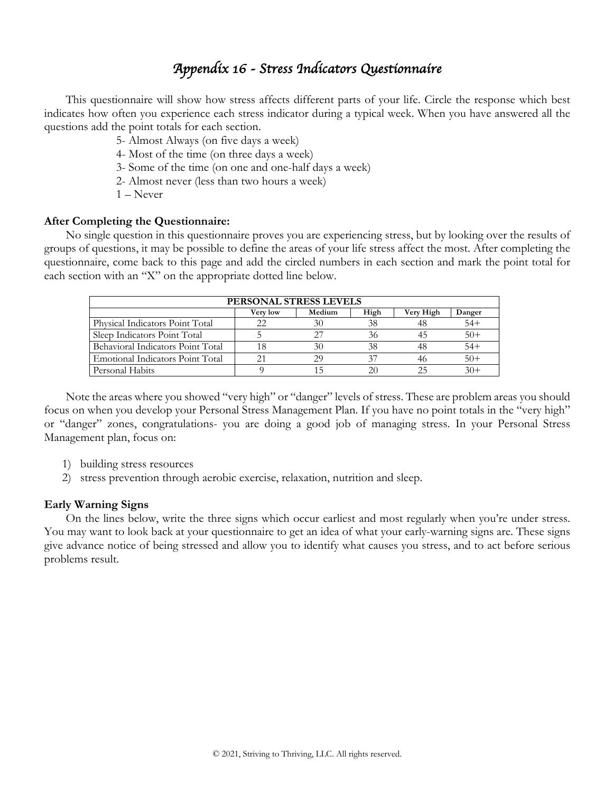## *Appendix 16 - Stress Indicators Questionnaire*

This questionnaire will show how stress affects different parts of your life. Circle the response which best indicates how often you experience each stress indicator during a typical week. When you have answered all the questions add the point totals for each section.

- 5- Almost Always (on five days a week)
- 4- Most of the time (on three days a week)
- 3- Some of the time (on one and one-half days a week)
- 2- Almost never (less than two hours a week)
- 1 Never

## **After Completing the Questionnaire:**

No single question in this questionnaire proves you are experiencing stress, but by looking over the results of groups of questions, it may be possible to define the areas of your life stress affect the most. After completing the questionnaire, come back to this page and add the circled numbers in each section and mark the point total for each section with an "X" on the appropriate dotted line below.

|                                   | PERSONAL STRESS LEVELS |        |      |           |        |  |
|-----------------------------------|------------------------|--------|------|-----------|--------|--|
|                                   | <b>Very low</b>        | Medium | High | Very High | Danger |  |
| Physical Indicators Point Total   | 22.                    | 30     | 38   |           | $54+$  |  |
| Sleep Indicators Point Total      |                        | 27     | 36   |           | $50+$  |  |
| Behavioral Indicators Point Total |                        | 30     | 38   |           | $54+$  |  |
| Emotional Indicators Point Total  |                        | 29     | 37   |           | $50+$  |  |
| Personal Habits                   |                        |        | 20   |           | $30+$  |  |

Note the areas where you showed "very high" or "danger" levels of stress. These are problem areas you should focus on when you develop your Personal Stress Management Plan. If you have no point totals in the "very high" or "danger" zones, congratulations- you are doing a good job of managing stress. In your Personal Stress Management plan, focus on:

- 1) building stress resources
- 2) stress prevention through aerobic exercise, relaxation, nutrition and sleep.

## **Early Warning Signs**

On the lines below, write the three signs which occur earliest and most regularly when you're under stress. You may want to look back at your questionnaire to get an idea of what your early-warning signs are. These signs give advance notice of being stressed and allow you to identify what causes you stress, and to act before serious problems result.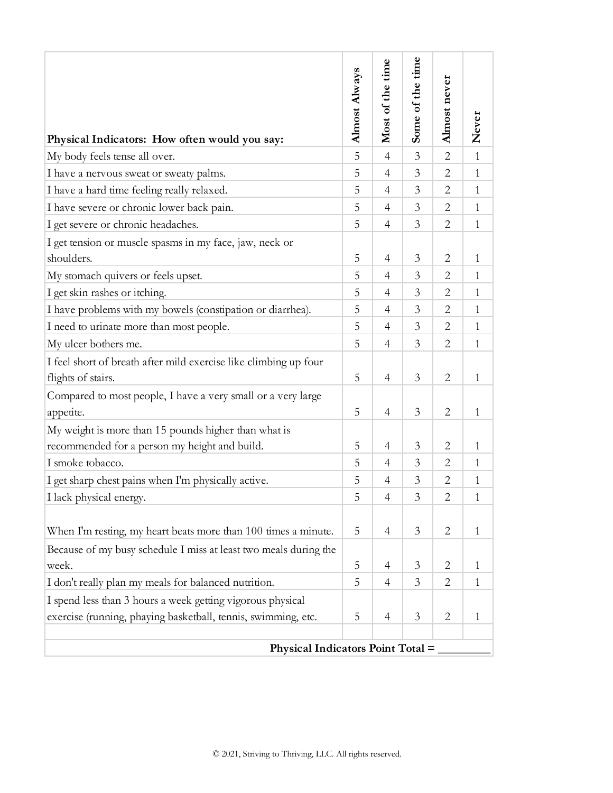| Physical Indicators: How often would you say:                    | <b>Almost Always</b> | Most of the time | Some of the time | Almost never   | Never        |
|------------------------------------------------------------------|----------------------|------------------|------------------|----------------|--------------|
| My body feels tense all over.                                    | 5                    | $\overline{4}$   | 3                | $\overline{2}$ | $\mathbf{1}$ |
| I have a nervous sweat or sweaty palms.                          | 5                    | $\overline{4}$   | 3                | $\overline{2}$ | $\mathbf{1}$ |
| I have a hard time feeling really relaxed.                       | 5                    | $\overline{4}$   | 3                | $\overline{2}$ | $\mathbf{1}$ |
| I have severe or chronic lower back pain.                        | 5                    | $\overline{4}$   | $\mathfrak{Z}$   | $\overline{2}$ | $\mathbf{1}$ |
| I get severe or chronic headaches.                               | 5                    | $\overline{4}$   | 3                | $\overline{2}$ | $\mathbf{1}$ |
| I get tension or muscle spasms in my face, jaw, neck or          |                      |                  |                  |                |              |
| shoulders.                                                       | 5                    | $\overline{4}$   | 3                | $\overline{2}$ | $\mathbf{1}$ |
| My stomach quivers or feels upset.                               | 5                    | $\overline{4}$   | 3                | $\overline{2}$ | $\mathbf{1}$ |
| I get skin rashes or itching.                                    | 5                    | $\overline{4}$   | 3                | 2              | $\mathbf{1}$ |
| I have problems with my bowels (constipation or diarrhea).       | 5                    | $\overline{4}$   | 3                | $\overline{2}$ | $\mathbf{1}$ |
| I need to urinate more than most people.                         | 5                    | $\overline{4}$   | $\mathfrak{Z}$   | $\overline{2}$ | $\mathbf{1}$ |
| My ulcer bothers me.                                             | 5                    | $\overline{4}$   | 3                | $\overline{2}$ | $\mathbf{1}$ |
| I feel short of breath after mild exercise like climbing up four |                      |                  |                  |                |              |
| flights of stairs.                                               | 5                    | $\overline{4}$   | 3                | $\overline{2}$ | $\mathbf{1}$ |
| Compared to most people, I have a very small or a very large     |                      |                  |                  |                |              |
| appetite.                                                        | 5                    | $\overline{4}$   | 3                | $\overline{2}$ | 1            |
| My weight is more than 15 pounds higher than what is             |                      |                  |                  |                |              |
| recommended for a person my height and build.                    | 5                    | $\overline{4}$   | 3                | $\overline{2}$ | $\mathbf{1}$ |
| I smoke tobacco.                                                 | 5                    | $\overline{4}$   | 3                | $\overline{2}$ | $\mathbf{1}$ |
| I get sharp chest pains when I'm physically active.              | 5                    | $\overline{4}$   | 3                | $\overline{2}$ | $\mathbf{1}$ |
| I lack physical energy.                                          | 5                    | $\overline{4}$   | 3                | $\overline{2}$ | 1            |
| When I'm resting, my heart beats more than 100 times a minute.   | 5                    | $\overline{4}$   | 3                | 2              | $\mathbf{1}$ |
| Because of my busy schedule I miss at least two meals during the |                      |                  |                  |                |              |
| week.                                                            | 5                    | $\overline{4}$   | 3                | $\overline{2}$ | 1            |
| I don't really plan my meals for balanced nutrition.             | 5                    | 4                | 3                | $\overline{2}$ | 1            |
| I spend less than 3 hours a week getting vigorous physical       |                      |                  |                  |                |              |
| exercise (running, phaying basketball, tennis, swimming, etc.    | 5                    | $\overline{4}$   | 3                | $\overline{2}$ | 1            |
|                                                                  |                      |                  |                  |                |              |
| Physical Indicators Point Total =                                |                      |                  |                  |                |              |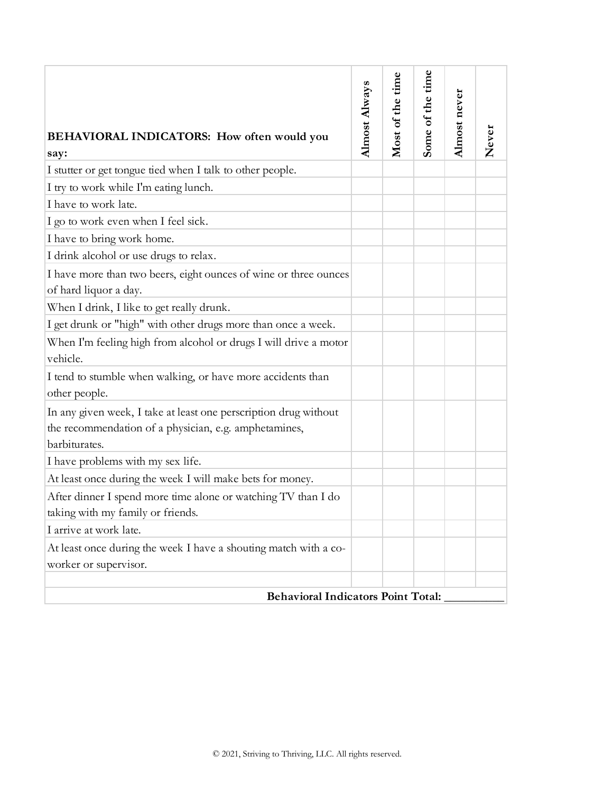| BEHAVIORAL INDICATORS: How often would you<br>say:                                                                                         | <b>Almost Always</b> | Most of the time | Some of the time | Almost never | Never |
|--------------------------------------------------------------------------------------------------------------------------------------------|----------------------|------------------|------------------|--------------|-------|
| I stutter or get tongue tied when I talk to other people.                                                                                  |                      |                  |                  |              |       |
| I try to work while I'm eating lunch.                                                                                                      |                      |                  |                  |              |       |
| I have to work late.                                                                                                                       |                      |                  |                  |              |       |
| I go to work even when I feel sick.                                                                                                        |                      |                  |                  |              |       |
| I have to bring work home.                                                                                                                 |                      |                  |                  |              |       |
| I drink alcohol or use drugs to relax.                                                                                                     |                      |                  |                  |              |       |
| I have more than two beers, eight ounces of wine or three ounces<br>of hard liquor a day.                                                  |                      |                  |                  |              |       |
| When I drink, I like to get really drunk.                                                                                                  |                      |                  |                  |              |       |
| I get drunk or "high" with other drugs more than once a week.                                                                              |                      |                  |                  |              |       |
| When I'm feeling high from alcohol or drugs I will drive a motor<br>vehicle.                                                               |                      |                  |                  |              |       |
| I tend to stumble when walking, or have more accidents than<br>other people.                                                               |                      |                  |                  |              |       |
| In any given week, I take at least one perscription drug without<br>the recommendation of a physician, e.g. amphetamines,<br>barbiturates. |                      |                  |                  |              |       |
| I have problems with my sex life.                                                                                                          |                      |                  |                  |              |       |
| At least once during the week I will make bets for money.                                                                                  |                      |                  |                  |              |       |
| After dinner I spend more time alone or watching TV than I do<br>taking with my family or friends.                                         |                      |                  |                  |              |       |
| I arrive at work late.                                                                                                                     |                      |                  |                  |              |       |
| At least once during the week I have a shouting match with a co-<br>worker or supervisor.                                                  |                      |                  |                  |              |       |
| <b>Behavioral Indicators Point Total:</b>                                                                                                  |                      |                  |                  |              |       |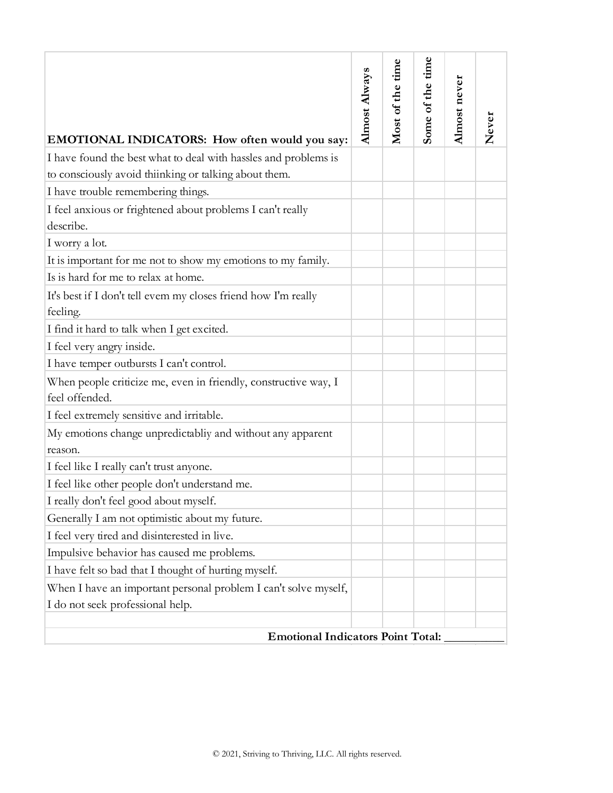|                                                                                   | <b>Almost Always</b> | Most of the time | Some of the time | Almost never | Never |
|-----------------------------------------------------------------------------------|----------------------|------------------|------------------|--------------|-------|
| <b>EMOTIONAL INDICATORS:</b> How often would you say:                             |                      |                  |                  |              |       |
| I have found the best what to deal with hassles and problems is                   |                      |                  |                  |              |       |
| to consciously avoid thiinking or talking about them.                             |                      |                  |                  |              |       |
| I have trouble remembering things.                                                |                      |                  |                  |              |       |
| I feel anxious or frightened about problems I can't really                        |                      |                  |                  |              |       |
| describe.                                                                         |                      |                  |                  |              |       |
| I worry a lot.                                                                    |                      |                  |                  |              |       |
| It is important for me not to show my emotions to my family.                      |                      |                  |                  |              |       |
| Is is hard for me to relax at home.                                               |                      |                  |                  |              |       |
| It's best if I don't tell evem my closes friend how I'm really                    |                      |                  |                  |              |       |
| feeling.                                                                          |                      |                  |                  |              |       |
| I find it hard to talk when I get excited.                                        |                      |                  |                  |              |       |
| I feel very angry inside.                                                         |                      |                  |                  |              |       |
| I have temper outbursts I can't control.                                          |                      |                  |                  |              |       |
| When people criticize me, even in friendly, constructive way, I<br>feel offended. |                      |                  |                  |              |       |
| I feel extremely sensitive and irritable.                                         |                      |                  |                  |              |       |
| My emotions change unpredictabliy and without any apparent<br>reason.             |                      |                  |                  |              |       |
| I feel like I really can't trust anyone.                                          |                      |                  |                  |              |       |
| I feel like other people don't understand me.                                     |                      |                  |                  |              |       |
| I really don't feel good about myself.                                            |                      |                  |                  |              |       |
| Generally I am not optimistic about my future.                                    |                      |                  |                  |              |       |
| I feel very tired and disinterested in live.                                      |                      |                  |                  |              |       |
| Impulsive behavior has caused me problems.                                        |                      |                  |                  |              |       |
| I have felt so bad that I thought of hurting myself.                              |                      |                  |                  |              |       |
| When I have an important personal problem I can't solve myself,                   |                      |                  |                  |              |       |
| I do not seek professional help.                                                  |                      |                  |                  |              |       |
|                                                                                   |                      |                  |                  |              |       |
| <b>Emotional Indicators Point Total:</b>                                          |                      |                  |                  |              |       |